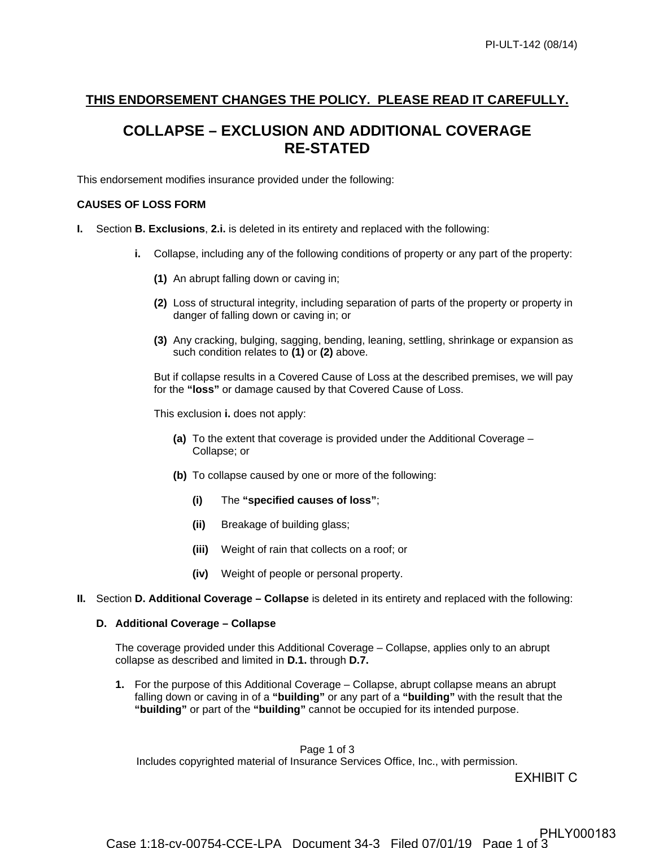## **THIS ENDORSEMENT CHANGES THE POLICY. PLEASE READ IT CAREFULLY.**

## **COLLAPSE – EXCLUSION AND ADDITIONAL COVERAGE RE-STATED**

This endorsement modifies insurance provided under the following:

## **CAUSES OF LOSS FORM**

- **I.** Section **B. Exclusions**, **2.i.** is deleted in its entirety and replaced with the following:
	- **i.** Collapse, including any of the following conditions of property or any part of the property:
		- **(1)** An abrupt falling down or caving in;
		- **(2)** Loss of structural integrity, including separation of parts of the property or property in danger of falling down or caving in; or
		- **(3)** Any cracking, bulging, sagging, bending, leaning, settling, shrinkage or expansion as such condition relates to **(1)** or **(2)** above.

But if collapse results in a Covered Cause of Loss at the described premises, we will pay for the **"loss"** or damage caused by that Covered Cause of Loss.

This exclusion **i.** does not apply:

- **(a)** To the extent that coverage is provided under the Additional Coverage Collapse; or
- **(b)** To collapse caused by one or more of the following:
	- **(i)** The **"specified causes of loss"**;
	- **(ii)** Breakage of building glass;
	- **(iii)** Weight of rain that collects on a roof; or
	- **(iv)** Weight of people or personal property.
- **II.** Section **D. Additional Coverage Collapse** is deleted in its entirety and replaced with the following:

## **D. Additional Coverage – Collapse**

The coverage provided under this Additional Coverage – Collapse, applies only to an abrupt collapse as described and limited in **D.1.** through **D.7.**

**1.** For the purpose of this Additional Coverage – Collapse, abrupt collapse means an abrupt falling down or caving in of a **"building"** or any part of a **"building"** with the result that the **"building"** or part of the **"building"** cannot be occupied for its intended purpose.

Page 1 of 3

Includes copyrighted material of Insurance Services Office, Inc., with permission.

EXHIBIT C<br>PHLY000183

Case 1:18-cv-00754-CCE-LPA Document 34-3 Filed 07/01/19 Page 1 of 3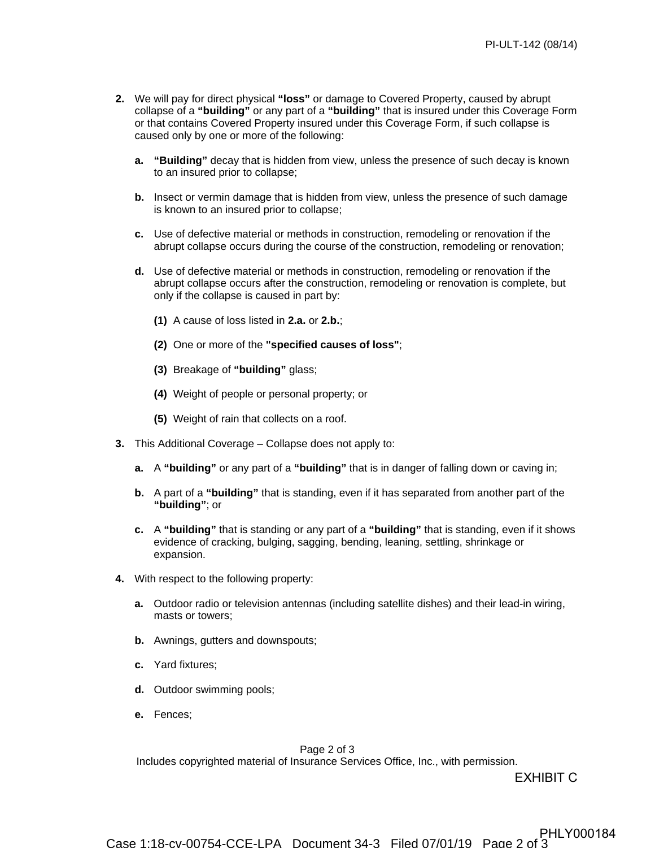- **2.** We will pay for direct physical **"loss"** or damage to Covered Property, caused by abrupt collapse of a **"building"** or any part of a **"building"** that is insured under this Coverage Form or that contains Covered Property insured under this Coverage Form, if such collapse is caused only by one or more of the following:
	- **a. "Building"** decay that is hidden from view, unless the presence of such decay is known to an insured prior to collapse;
	- **b.** Insect or vermin damage that is hidden from view, unless the presence of such damage is known to an insured prior to collapse;
	- **c.** Use of defective material or methods in construction, remodeling or renovation if the abrupt collapse occurs during the course of the construction, remodeling or renovation;
	- **d.** Use of defective material or methods in construction, remodeling or renovation if the abrupt collapse occurs after the construction, remodeling or renovation is complete, but only if the collapse is caused in part by:
		- **(1)** A cause of loss listed in **2.a.** or **2.b.**;
		- **(2)** One or more of the **"specified causes of loss"**;
		- **(3)** Breakage of **"building"** glass;
		- **(4)** Weight of people or personal property; or
		- **(5)** Weight of rain that collects on a roof.
- **3.** This Additional Coverage Collapse does not apply to:
	- **a.** A **"building"** or any part of a **"building"** that is in danger of falling down or caving in;
	- **b.** A part of a **"building"** that is standing, even if it has separated from another part of the **"building"**; or
	- **c.** A **"building"** that is standing or any part of a **"building"** that is standing, even if it shows evidence of cracking, bulging, sagging, bending, leaning, settling, shrinkage or expansion.
- **4.** With respect to the following property:
	- **a.** Outdoor radio or television antennas (including satellite dishes) and their lead-in wiring, masts or towers;
	- **b.** Awnings, gutters and downspouts;
	- **c.** Yard fixtures;
	- **d.** Outdoor swimming pools;
	- **e.** Fences;

Page 2 of 3

Includes copyrighted material of Insurance Services Office, Inc., with permission.

EXHIBIT C<br>PHLY000184

Case 1:18-cv-00754-CCE-LPA Document 34-3 Filed 07/01/19 Page 2 of 3